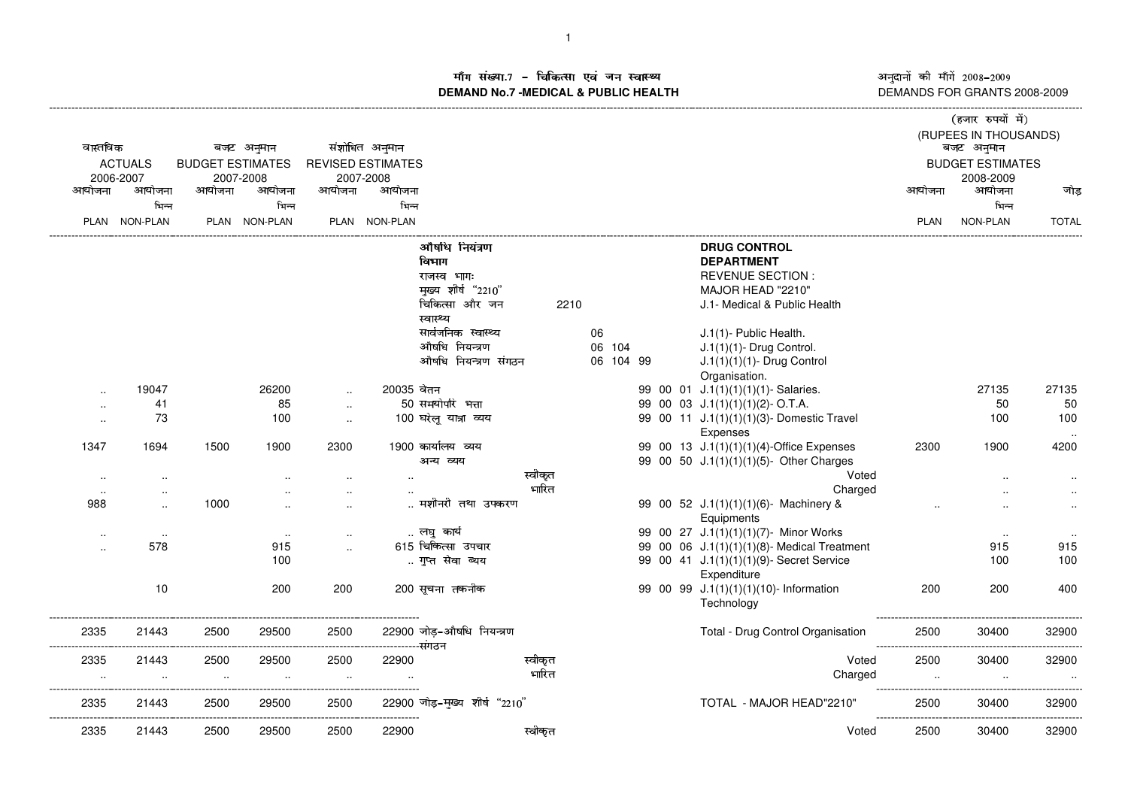ाँग संख्या.7 – चिकित्सा एवं जन स्वास्थ्य<br>IAND No.7 -MEDICAL & DURLIC HEALTH **DEMAND No.7 -MEDICAL & PUBLIC HEALTH**

----------------------------------------------------------------------------------------------------------------------------------------------------------------------------------------------------------------------------------------------------------------------------------------------

अनुदानों की माँगें 2008–2009<br>DEMANDS FOR GRANTS 2008-2009

| वास्तविक<br><b>ACTUALS</b><br>2006-2007 |                      | बजट अनुमान<br><b>BUDGET ESTIMATES</b><br>2007-2008 |                    |                      | संशोधित अनुमान<br><b>REVISED ESTIMATES</b><br>2007-2008 |                                                                               |                  |    |           |  |  |  | (हजार रुपयों में)<br>(RUPEES IN THOUSANDS)<br>बजट अनुमान<br><b>BUDGET ESTIMATES</b><br>2008-2009                         |                  |                    |                      |
|-----------------------------------------|----------------------|----------------------------------------------------|--------------------|----------------------|---------------------------------------------------------|-------------------------------------------------------------------------------|------------------|----|-----------|--|--|--|--------------------------------------------------------------------------------------------------------------------------|------------------|--------------------|----------------------|
| आयोजना                                  | आयोजना               | आयोजना                                             | आयोजना             | आयोजना               | आयोजना                                                  |                                                                               |                  |    |           |  |  |  |                                                                                                                          | आयोजना           | आयोजना             | जोड                  |
|                                         | भिन्न                |                                                    | भिन्न              |                      | भिन्न                                                   |                                                                               |                  |    |           |  |  |  |                                                                                                                          |                  | भिन्न              |                      |
|                                         | PLAN NON-PLAN        |                                                    | PLAN NON-PLAN      |                      | PLAN NON-PLAN                                           |                                                                               |                  |    |           |  |  |  |                                                                                                                          | PLAN             | NON-PLAN           | <b>TOTAL</b>         |
|                                         |                      |                                                    |                    |                      |                                                         | औषधि नियंत्रण<br>विभाग<br>राजस्व भाग:<br>मुख्य शीर्ष "2210"<br>चिकित्सा और जन | 2210             |    |           |  |  |  | <b>DRUG CONTROL</b><br><b>DEPARTMENT</b><br><b>REVENUE SECTION:</b><br>MAJOR HEAD "2210"<br>J.1- Medical & Public Health |                  |                    |                      |
|                                         |                      |                                                    |                    |                      |                                                         | स्वास्थ्य                                                                     |                  |    |           |  |  |  |                                                                                                                          |                  |                    |                      |
|                                         |                      |                                                    |                    |                      |                                                         | सार्वजनिक स्वास्थ्य                                                           |                  | 06 |           |  |  |  | J.1(1)- Public Health.                                                                                                   |                  |                    |                      |
|                                         |                      |                                                    |                    |                      |                                                         | औषधि नियन्त्रण                                                                |                  |    | 06 104    |  |  |  | $J.1(1)(1)$ - Drug Control.                                                                                              |                  |                    |                      |
|                                         |                      |                                                    |                    |                      |                                                         | औषधि नियन्त्रण संगठन                                                          |                  |    | 06 104 99 |  |  |  | J.1(1)(1)(1)- Drug Control                                                                                               |                  |                    |                      |
|                                         | 19047                |                                                    | 26200              |                      | 20035 वेतन                                              |                                                                               |                  |    |           |  |  |  | Organisation.<br>99 00 01 J.1(1)(1)(1)(1)- Salaries.                                                                     |                  | 27135              | 27135                |
|                                         | 41                   |                                                    | 85                 | $\sim$               |                                                         | 50 समयोपरि भत्ता                                                              |                  |    |           |  |  |  | 99 00 03 J.1(1)(1)(1)(2)-O.T.A.                                                                                          |                  | 50                 | 50                   |
| $\ddot{\phantom{1}}$                    | 73                   |                                                    | 100                | $\sim$               |                                                         | 100 घरेलू यात्रा व्यय                                                         |                  |    |           |  |  |  | 99 00 11 J.1(1)(1)(1)(3)- Domestic Travel                                                                                |                  | 100                | 100                  |
| $\ddotsc$                               |                      |                                                    |                    | $\sim$               |                                                         |                                                                               |                  |    |           |  |  |  | Expenses                                                                                                                 |                  |                    | $\ldots$             |
| 1347                                    | 1694                 | 1500                                               | 1900               | 2300                 |                                                         | 1900 कार्यालय व्यय<br>अन्य व्यय                                               |                  |    |           |  |  |  | 99 00 13 J.1(1)(1)(1)(4)-Office Expenses<br>99 00 50 J.1(1)(1)(1)(5)- Other Charges                                      | 2300             | 1900               | 4200                 |
| $\ddotsc$                               | $\cdot$ .            |                                                    |                    | $\ddotsc$            |                                                         |                                                                               | स्वीकृत          |    |           |  |  |  | Voted                                                                                                                    |                  |                    | $\ddotsc$            |
| $\sim$                                  |                      |                                                    |                    | $\ddotsc$            |                                                         |                                                                               | भारित            |    |           |  |  |  | Charged                                                                                                                  |                  |                    | $\cdot$ .            |
| 988                                     | $\ddot{\phantom{a}}$ | 1000                                               |                    |                      |                                                         | मशीनरी तथा उपकरण                                                              |                  |    |           |  |  |  | 99 00 52 J.1(1)(1)(1)(6)- Machinery &<br>Equipments                                                                      |                  |                    | $\ddotsc$            |
| $\cdot$ .                               | $\sim$               |                                                    | $\sim$             | $\ddot{\phantom{a}}$ |                                                         | लघु कार्य                                                                     |                  |    |           |  |  |  | 99 00 27 J.1(1)(1)(1)(7)- Minor Works                                                                                    |                  | $\sim$             | $\ddot{\phantom{1}}$ |
| $\ddotsc$                               | 578                  |                                                    | 915                | $\ddot{\phantom{a}}$ |                                                         | 615 चिकित्सा उपचार                                                            |                  |    |           |  |  |  | 99 00 06 J.1(1)(1)(1)(8)- Medical Treatment                                                                              |                  | 915                | 915                  |
|                                         |                      |                                                    | 100                |                      |                                                         | गुप्त सेवा ब्यय                                                               |                  |    |           |  |  |  | 99 00 41 J.1(1)(1)(1)(9)- Secret Service<br>Expenditure                                                                  |                  | 100                | 100                  |
|                                         | 10                   |                                                    | 200                | 200                  |                                                         | 200 सूचना तकनीक                                                               |                  |    |           |  |  |  | 99 00 99 J.1(1)(1)(1)(10)- Information<br>Technology                                                                     | 200              | 200                | 400                  |
| 2335                                    | 21443                | 2500                                               | 29500              | 2500                 | -----------संगठन                                        | 22900 जोड़-औषधि नियन्त्रण                                                     |                  |    |           |  |  |  | Total - Drug Control Organisation                                                                                        | 2500             | 30400              | 32900                |
| 2335<br>$\ddotsc$                       | 21443<br>$\ddotsc$   | 2500<br>$\sim$                                     | 29500<br>$\ddotsc$ | 2500<br>$\sim$       | 22900<br>$\ddot{\phantom{a}}$                           |                                                                               | स्वीकृत<br>भारित |    |           |  |  |  | Voted<br>Charged                                                                                                         | 2500<br>$\ldots$ | 30400<br>$\ddotsc$ | 32900<br>$\ddotsc$   |
| 2335                                    | 21443                | 2500                                               | 29500              | 2500                 |                                                         | 22900 जोड़-मुख्य शीर्ष "2210"                                                 |                  |    |           |  |  |  | TOTAL - MAJOR HEAD"2210"                                                                                                 | 2500             | 30400              | 32900                |
| 2335                                    | 21443                | 2500                                               | 29500              | 2500                 | 22900                                                   |                                                                               | स्वीकृत          |    |           |  |  |  | Voted                                                                                                                    | 2500             | 30400              | 32900                |